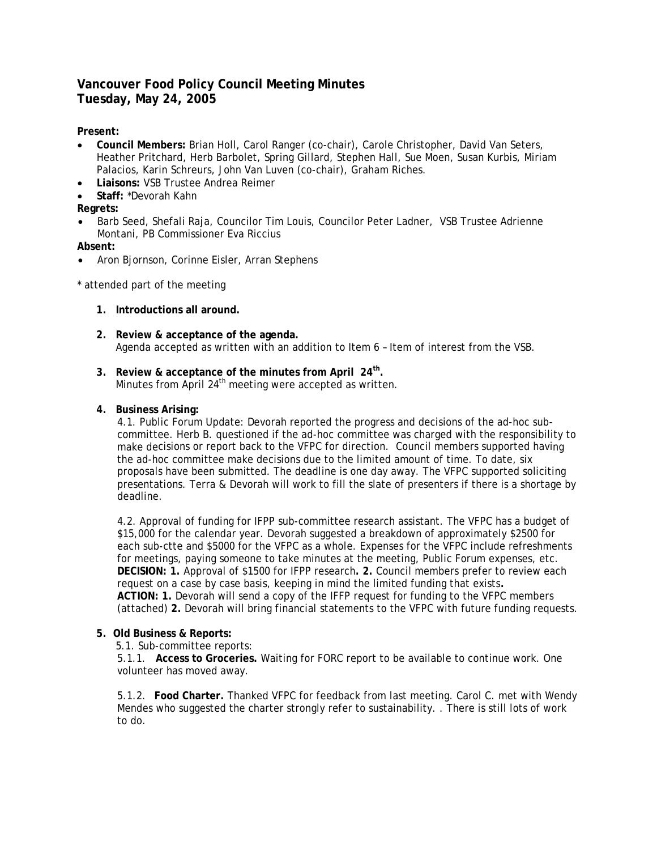# **Vancouver Food Policy Council Meeting Minutes Tuesday, May 24, 2005**

### **Present:**

- **Council Members:** Brian Holl, Carol Ranger (co-chair), Carole Christopher, David Van Seters, Heather Pritchard, Herb Barbolet, Spring Gillard, Stephen Hall, Sue Moen, Susan Kurbis, Miriam Palacios, Karin Schreurs, John Van Luven (co-chair), Graham Riches.
- **Liaisons:** VSB Trustee Andrea Reimer
- **Staff:** \*Devorah Kahn

## **Regrets:**

• Barb Seed, Shefali Raja, Councilor Tim Louis, Councilor Peter Ladner, VSB Trustee Adrienne Montani, PB Commissioner Eva Riccius

#### **Absent:**

• Aron Bjornson, Corinne Eisler, Arran Stephens

\* attended part of the meeting

- **1. Introductions all around.**
- **2. Review & acceptance of the agenda.** Agenda accepted as written with an addition to Item 6 – Item of interest from the VSB.
- **3. Review & acceptance of the minutes from April 24th.** Minutes from April 24<sup>th</sup> meeting were accepted as written.

#### **4. Business Arising:**

4.1. Public Forum Update: Devorah reported the progress and decisions of the ad-hoc subcommittee. Herb B. questioned if the ad-hoc committee was charged with the responsibility to make decisions or report back to the VFPC for direction. Council members supported having the ad-hoc committee make decisions due to the limited amount of time. To date, six proposals have been submitted. The deadline is one day away. The VFPC supported soliciting presentations. Terra & Devorah will work to fill the slate of presenters if there is a shortage by deadline.

4.2. Approval of funding for IFPP sub-committee research assistant. The VFPC has a budget of \$15,000 for the calendar year. Devorah suggested a breakdown of approximately \$2500 for each sub-ctte and \$5000 for the VFPC as a whole. Expenses for the VFPC include refreshments for meetings, paying someone to take minutes at the meeting, Public Forum expenses, etc. **DECISION: 1.** Approval of \$1500 for IFPP research**. 2.** Council members prefer to review each request on a case by case basis, keeping in mind the limited funding that exists**. ACTION: 1.** Devorah will send a copy of the IFFP request for funding to the VFPC members (attached) **2.** Devorah will bring financial statements to the VFPC with future funding requests.

#### **5. Old Business & Reports:**

5.1. Sub-committee reports:

5.1.1. **Access to Groceries.** Waiting for FORC report to be available to continue work. One volunteer has moved away.

5.1.2. **Food Charter.** Thanked VFPC for feedback from last meeting. Carol C. met with Wendy Mendes who suggested the charter strongly refer to sustainability. . There is still lots of work to do.